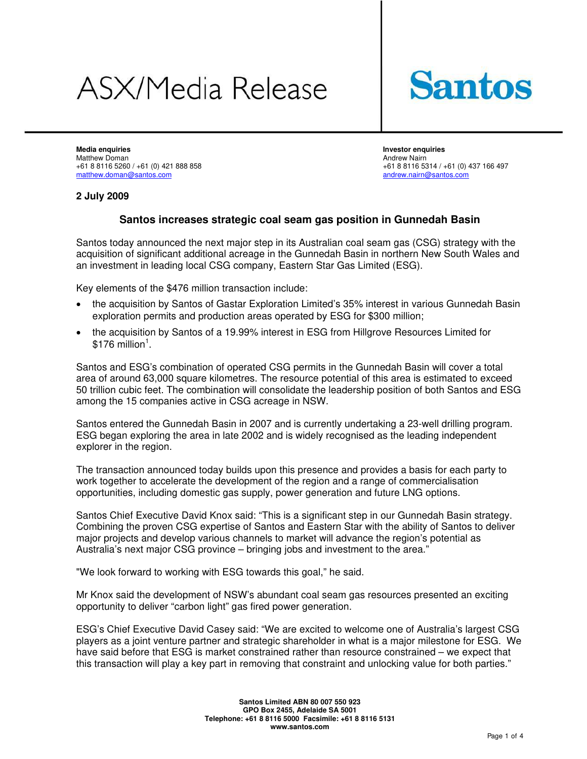# **ASX/Media Release**



**Media enquiries Investor enquiries**  Matthew Doman **Andrew Nairn Andrew Nairn Andrew Nairn** Andrew Nairn Andrew Nairn Andrew Nairn Andrew Nairn Andrew Nairn Andrew Nairn Andrew Nairn Andrew Nairn Andrew Nairn Andrew Nairn Andrew Nairn Andrew Nairn Andrew Nair +61 8 8116 5260 / +61 (0) 421 888 858 +61 88116 5314 / +61 (0) 437 166 497<br>
matthew.doman@santos.com matthew.doman@santos.com

# **2 July 2009**

# **Santos increases strategic coal seam gas position in Gunnedah Basin**

Santos today announced the next major step in its Australian coal seam gas (CSG) strategy with the acquisition of significant additional acreage in the Gunnedah Basin in northern New South Wales and an investment in leading local CSG company, Eastern Star Gas Limited (ESG).

Key elements of the \$476 million transaction include:

- the acquisition by Santos of Gastar Exploration Limited's 35% interest in various Gunnedah Basin exploration permits and production areas operated by ESG for \$300 million;
- the acquisition by Santos of a 19.99% interest in ESG from Hillgrove Resources Limited for  $$176$  million<sup>1</sup>.

Santos and ESG's combination of operated CSG permits in the Gunnedah Basin will cover a total area of around 63,000 square kilometres. The resource potential of this area is estimated to exceed 50 trillion cubic feet. The combination will consolidate the leadership position of both Santos and ESG among the 15 companies active in CSG acreage in NSW.

Santos entered the Gunnedah Basin in 2007 and is currently undertaking a 23-well drilling program. ESG began exploring the area in late 2002 and is widely recognised as the leading independent explorer in the region.

The transaction announced today builds upon this presence and provides a basis for each party to work together to accelerate the development of the region and a range of commercialisation opportunities, including domestic gas supply, power generation and future LNG options.

Santos Chief Executive David Knox said: "This is a significant step in our Gunnedah Basin strategy. Combining the proven CSG expertise of Santos and Eastern Star with the ability of Santos to deliver major projects and develop various channels to market will advance the region's potential as Australia's next major CSG province – bringing jobs and investment to the area."

"We look forward to working with ESG towards this goal," he said.

Mr Knox said the development of NSW's abundant coal seam gas resources presented an exciting opportunity to deliver "carbon light" gas fired power generation.

ESG's Chief Executive David Casey said: "We are excited to welcome one of Australia's largest CSG players as a joint venture partner and strategic shareholder in what is a major milestone for ESG. We have said before that ESG is market constrained rather than resource constrained – we expect that this transaction will play a key part in removing that constraint and unlocking value for both parties."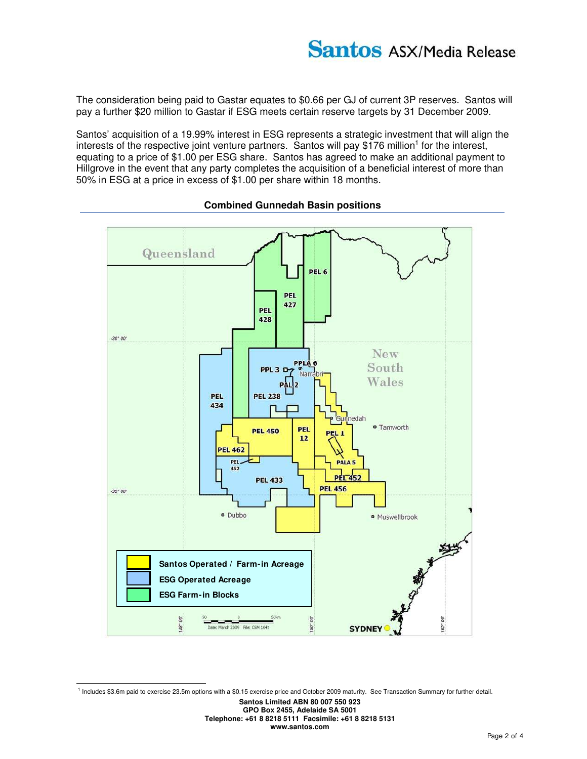The consideration being paid to Gastar equates to \$0.66 per GJ of current 3P reserves. Santos will pay a further \$20 million to Gastar if ESG meets certain reserve targets by 31 December 2009.

Santos' acquisition of a 19.99% interest in ESG represents a strategic investment that will align the interests of the respective joint venture partners. Santos will pay \$176 million<sup>1</sup> for the interest, equating to a price of \$1.00 per ESG share. Santos has agreed to make an additional payment to Hillgrove in the event that any party completes the acquisition of a beneficial interest of more than 50% in ESG at a price in excess of \$1.00 per share within 18 months.



## **Combined Gunnedah Basin positions**

<sup>1</sup> Includes \$3.6m paid to exercise 23.5m options with a \$0.15 exercise price and October 2009 maturity. See Transaction Summary for further detail.

 $\overline{a}$ 

**Santos Limited ABN 80 007 550 923 GPO Box 2455, Adelaide SA 5001** 

**Telephone: +61 8 8218 5111 Facsimile: +61 8 8218 5131 www.santos.com**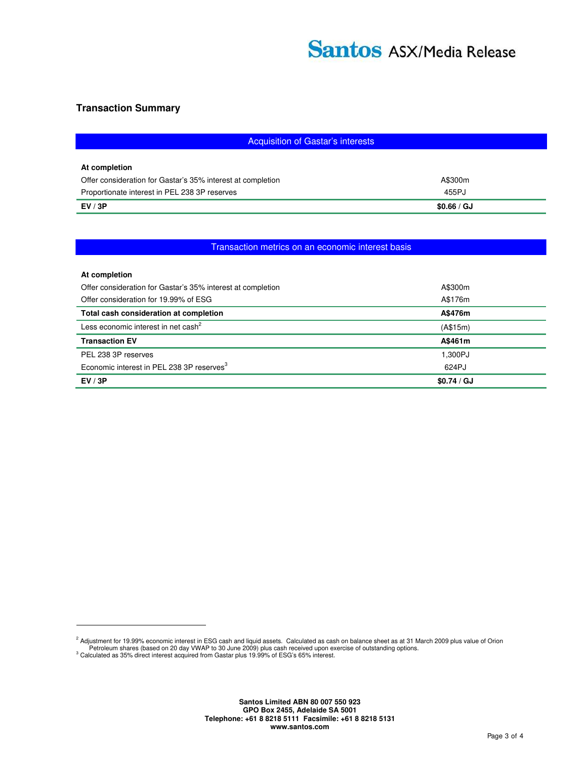## **Transaction Summary**

| Acquisition of Gastar's interests                           |             |
|-------------------------------------------------------------|-------------|
|                                                             |             |
| At completion                                               |             |
| Offer consideration for Gastar's 35% interest at completion | A\$300m     |
| Proportionate interest in PEL 238 3P reserves               | 455PJ       |
| EV/3P                                                       | \$0.66 / GJ |
|                                                             |             |

# Transaction metrics on an economic interest basis

| At completion                                               |             |
|-------------------------------------------------------------|-------------|
| Offer consideration for Gastar's 35% interest at completion | A\$300m     |
| Offer consideration for 19.99% of ESG                       | A\$176m     |
| Total cash consideration at completion                      | A\$476m     |
| Less economic interest in net cash <sup>2</sup>             | (A\$15m)    |
| <b>Transaction EV</b>                                       | A\$461m     |
| PEL 238 3P reserves                                         | 1.300PJ     |
| Economic interest in PEL 238 3P reserves <sup>3</sup>       | 624PJ       |
| EV/3P                                                       | \$0.74 / GJ |

 $\overline{a}$ 

<sup>&</sup>lt;sup>2</sup> Adjustment for 19.99% economic interest in ESG cash and liquid assets. Calculated as cash on balance sheet as at 31 March 2009 plus value of Orion<br>Petroleum shares (based on 20 day VWAP to 30 June 2009) plus cash recei